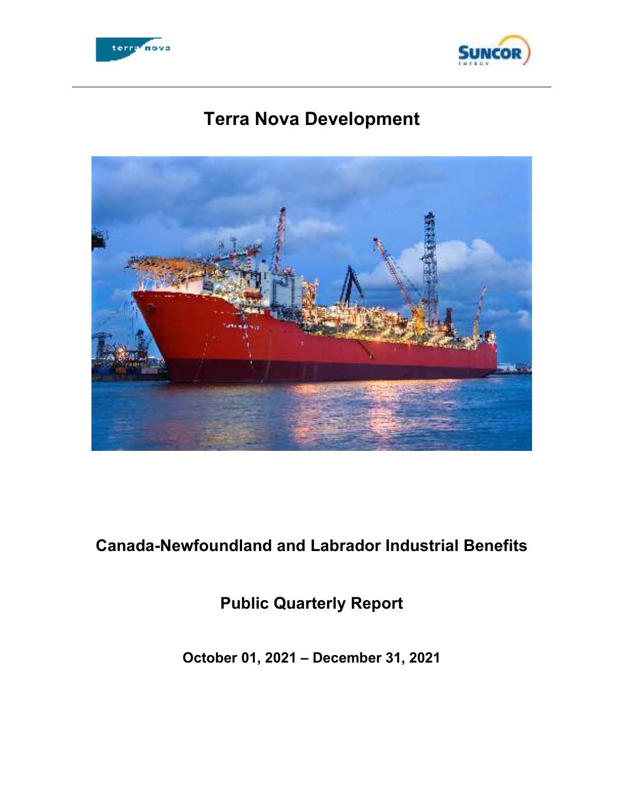



# **Terra Nova Development**



 **Canada-Newfoundland and Labrador Industrial Benefits** 

 **Public Quarterly Report** 

 **October 01, 2021 – December 31, 2021**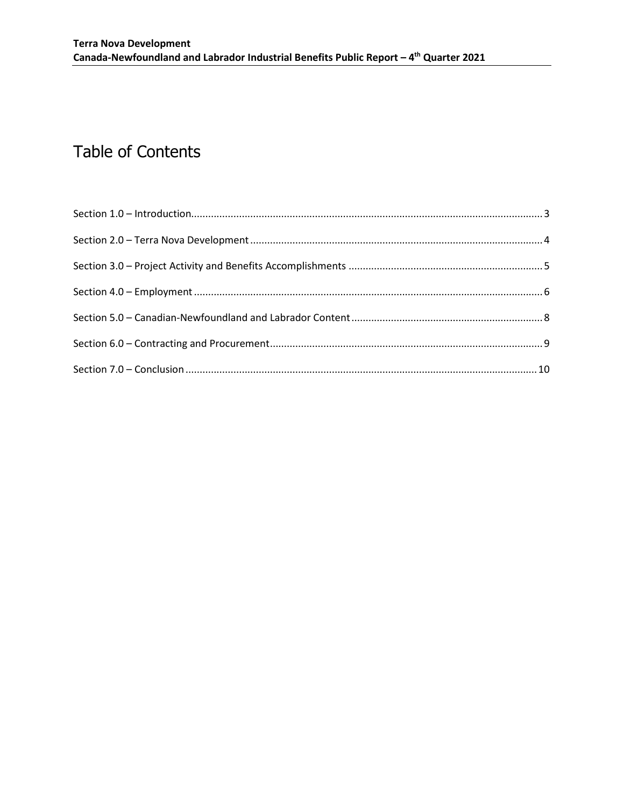# Table of Contents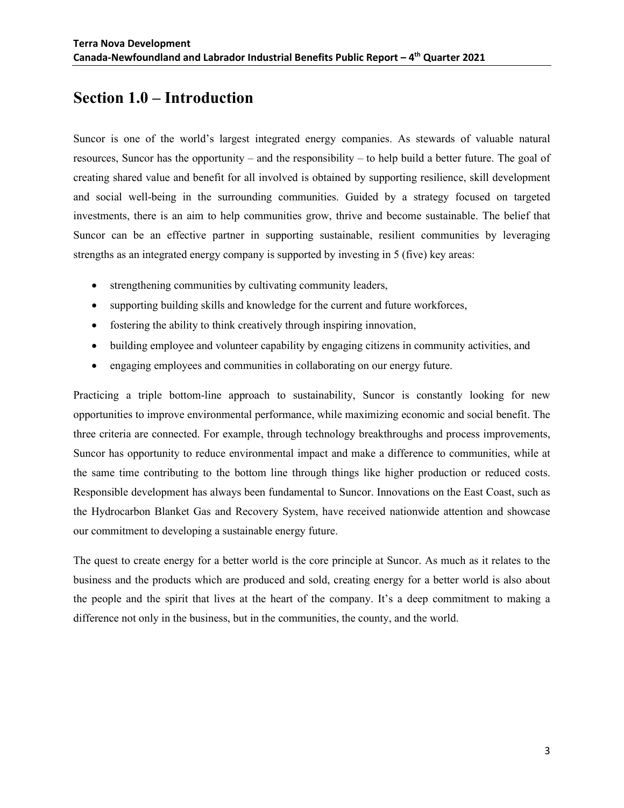#### **Section 1.0 – Introduction**

 Suncor is one of the world's largest integrated energy companies. As stewards of valuable natural resources, Suncor has the opportunity – and the responsibility – to help build a better future. The goal of creating shared value and benefit for all involved is obtained by supporting resilience, skill development and social well-being in the surrounding communities. Guided by a strategy focused on targeted investments, there is an aim to help communities grow, thrive and become sustainable. The belief that Suncor can be an effective partner in supporting sustainable, resilient communities by leveraging strengths as an integrated energy company is supported by investing in 5 (five) key areas:

- strengthening communities by cultivating community leaders,
- supporting building skills and knowledge for the current and future workforces,
- fostering the ability to think creatively through inspiring innovation,
- building employee and volunteer capability by engaging citizens in community activities, and
- engaging employees and communities in collaborating on our energy future.

 Practicing a triple bottom-line approach to sustainability, Suncor is constantly looking for new opportunities to improve environmental performance, while maximizing economic and social benefit. The three criteria are connected. For example, through technology breakthroughs and process improvements, Suncor has opportunity to reduce environmental impact and make a difference to communities, while at the same time contributing to the bottom line through things like higher production or reduced costs. Responsible development has always been fundamental to Suncor. Innovations on the East Coast, such as the Hydrocarbon Blanket Gas and Recovery System, have received nationwide attention and showcase our commitment to developing a sustainable energy future.

 The quest to create energy for a better world is the core principle at Suncor. As much as it relates to the business and the products which are produced and sold, creating energy for a better world is also about the people and the spirit that lives at the heart of the company. It's a deep commitment to making a difference not only in the business, but in the communities, the county, and the world.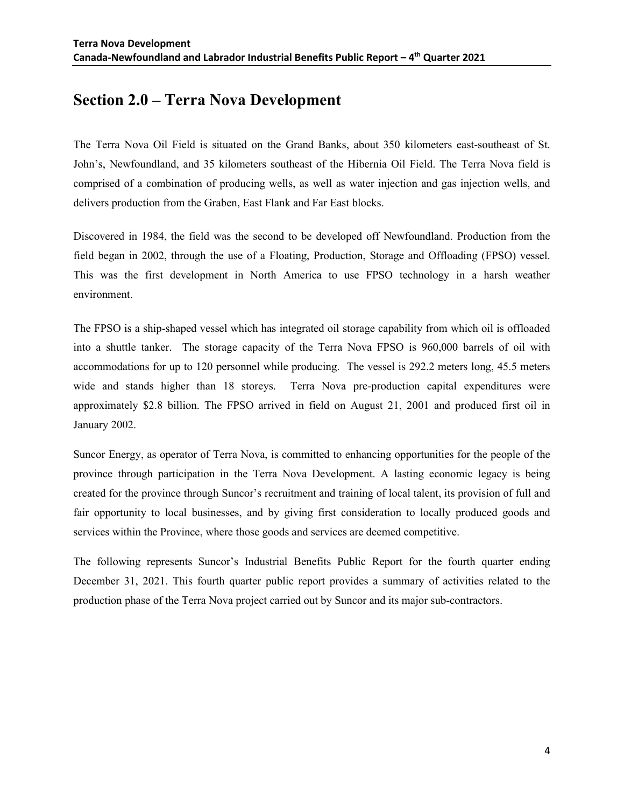### **Section 2.0 – Terra Nova Development**

 The Terra Nova Oil Field is situated on the Grand Banks, about 350 kilometers east-southeast of St. John's, Newfoundland, and 35 kilometers southeast of the Hibernia Oil Field. The Terra Nova field is comprised of a combination of producing wells, as well as water injection and gas injection wells, and delivers production from the Graben, East Flank and Far East blocks.

 Discovered in 1984, the field was the second to be developed off Newfoundland. Production from the field began in 2002, through the use of a Floating, Production, Storage and Offloading (FPSO) vessel. This was the first development in North America to use FPSO technology in a harsh weather environment.

environment.<br>The FPSO is a ship-shaped vessel which has integrated oil storage capability from which oil is offloaded into a shuttle tanker. The storage capacity of the Terra Nova FPSO is 960,000 barrels of oil with accommodations for up to 120 personnel while producing. The vessel is 292.2 meters long, 45.5 meters wide and stands higher than 18 storeys. Terra Nova pre-production capital expenditures were approximately \$2.8 billion. The FPSO arrived in field on August 21, 2001 and produced first oil in January 2002.

 Suncor Energy, as operator of Terra Nova, is committed to enhancing opportunities for the people of the province through participation in the Terra Nova Development. A lasting economic legacy is being created for the province through Suncor's recruitment and training of local talent, its provision of full and fair opportunity to local businesses, and by giving first consideration to locally produced goods and services within the Province, where those goods and services are deemed competitive.

 The following represents Suncor's Industrial Benefits Public Report for the fourth quarter ending December 31, 2021. This fourth quarter public report provides a summary of activities related to the production phase of the Terra Nova project carried out by Suncor and its major sub-contractors.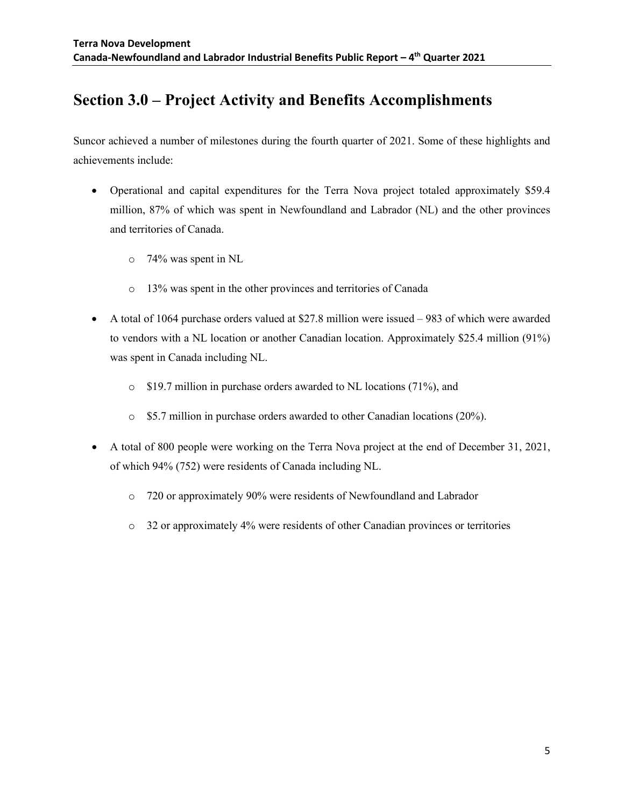# **Section 3.0 – Project Activity and Benefits Accomplishments**

 Suncor achieved a number of milestones during the fourth quarter of 2021. Some of these highlights and achievements include:

- Operational and capital expenditures for the Terra Nova project totaled approximately \$59.4 million, 87% of which was spent in Newfoundland and Labrador (NL) and the other provinces and territories of Canada.
	- o 74% was spent in NL
	- o 13% was spent in the other provinces and territories of Canada
- A total of 1064 purchase orders valued at \$27.8 million were issued 983 of which were awarded to vendors with a NL location or another Canadian location. Approximately \$25.4 million (91%) was spent in Canada including NL.
	- o \$19.7 million in purchase orders awarded to NL locations (71%), and
	- o \$5.7 million in purchase orders awarded to other Canadian locations (20%).
- A total of 800 people were working on the Terra Nova project at the end of December 31, 2021, of which 94% (752) were residents of Canada including NL.
	- o 720 or approximately 90% were residents of Newfoundland and Labrador
	- o 32 or approximately 4% were residents of other Canadian provinces or territories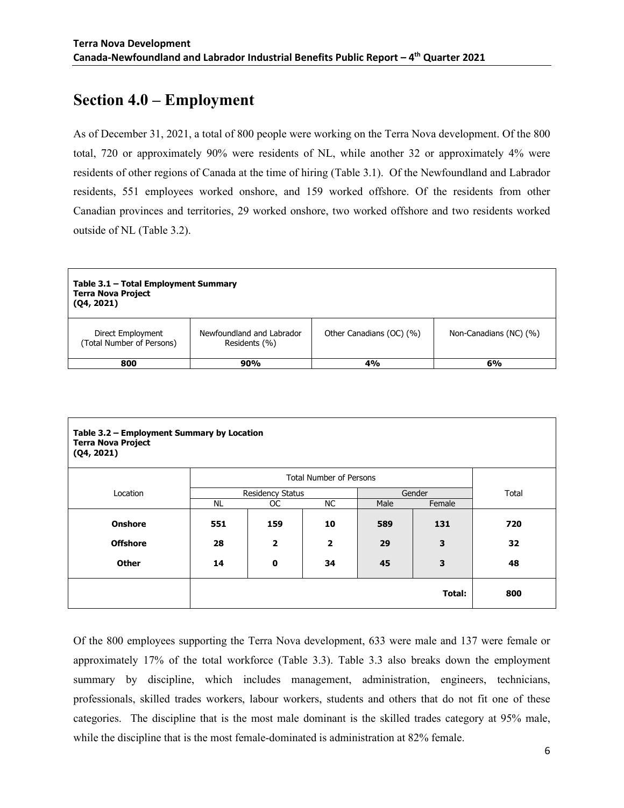#### **Section 4.0 – Employment**

 As of December 31, 2021, a total of 800 people were working on the Terra Nova development. Of the 800 total, 720 or approximately 90% were residents of NL, while another 32 or approximately 4% were residents of other regions of Canada at the time of hiring (Table 3.1). Of the Newfoundland and Labrador residents, 551 employees worked onshore, and 159 worked offshore. Of the residents from other Canadian provinces and territories, 29 worked onshore, two worked offshore and two residents worked outside of NL (Table 3.2).

| Table 3.1 - Total Employment Summary<br><b>Terra Nova Project</b><br>(Q4, 2021) |                                            |                          |                        |  |  |  |
|---------------------------------------------------------------------------------|--------------------------------------------|--------------------------|------------------------|--|--|--|
| Direct Employment<br>(Total Number of Persons)                                  | Newfoundland and Labrador<br>Residents (%) | Other Canadians (OC) (%) | Non-Canadians (NC) (%) |  |  |  |
| 800                                                                             | 90%                                        | 4%                       | 6%                     |  |  |  |

| Table 3.2 - Employment Summary by Location<br><b>Terra Nova Project</b><br>(Q4, 2021) |                         |                                |     |        |        |       |
|---------------------------------------------------------------------------------------|-------------------------|--------------------------------|-----|--------|--------|-------|
|                                                                                       |                         | <b>Total Number of Persons</b> |     |        |        |       |
| Location                                                                              | <b>Residency Status</b> |                                |     | Gender |        | Total |
|                                                                                       | <b>NL</b>               | OC.                            | NC. | Male   | Female |       |
| <b>Onshore</b>                                                                        | 551                     | 159                            | 10  | 589    | 131    | 720   |
| <b>Offshore</b>                                                                       | 28                      | $\overline{2}$                 | 2   | 29     | 3      | 32    |
| <b>Other</b>                                                                          | 14                      | 0                              | 34  | 45     | 3      | 48    |
|                                                                                       |                         |                                |     |        | Total: | 800   |

 Of the 800 employees supporting the Terra Nova development, 633 were male and 137 were female or approximately 17% of the total workforce (Table 3.3). Table 3.3 also breaks down the employment summary by discipline, which includes management, administration, engineers, technicians, professionals, skilled trades workers, labour workers, students and others that do not fit one of these categories. The discipline that is the most male dominant is the skilled trades category at 95% male, while the discipline that is the most female-dominated is administration at 82% female.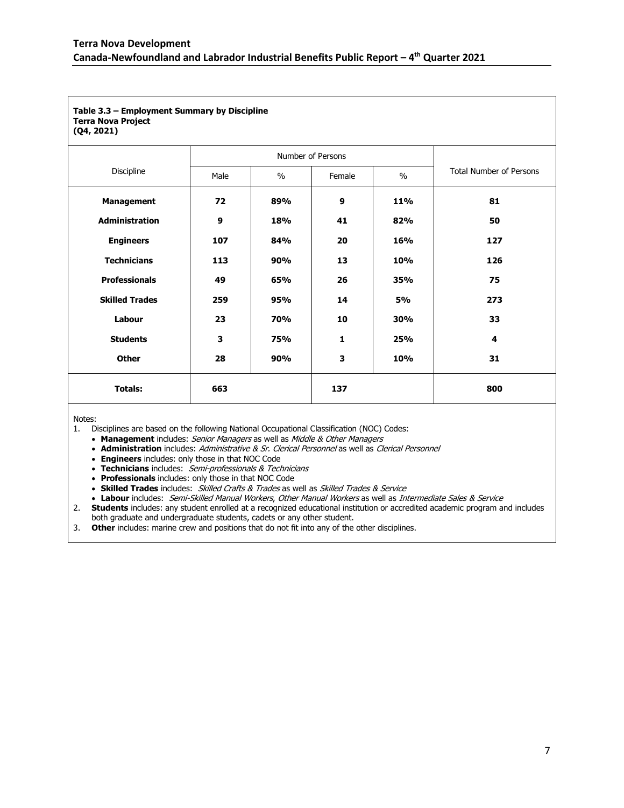| Table 3.3 - Employment Summary by Discipline<br><b>Terra Nova Project</b><br>(Q4, 2021) |      |               |              |           |                                |
|-----------------------------------------------------------------------------------------|------|---------------|--------------|-----------|--------------------------------|
| Number of Persons                                                                       |      |               |              |           |                                |
| Discipline                                                                              | Male | $\frac{0}{0}$ | Female       | $\%$      | <b>Total Number of Persons</b> |
| <b>Management</b>                                                                       | 72   | 89%           | 9            | 11%       | 81                             |
| <b>Administration</b>                                                                   | 9    | 18%           | 41           | 82%       | 50                             |
| <b>Engineers</b>                                                                        | 107  | 84%           | 20           | 16%       | 127                            |
| <b>Technicians</b>                                                                      | 113  | 90%           | 13           | 10%       | 126                            |
| <b>Professionals</b>                                                                    | 49   | 65%           | 26           | 35%       | 75                             |
| <b>Skilled Trades</b>                                                                   | 259  | 95%           | 14           | <b>5%</b> | 273                            |
| Labour                                                                                  | 23   | 70%           | 10           | 30%       | 33                             |
| <b>Students</b>                                                                         | 3    | 75%           | $\mathbf{1}$ | 25%       | $\overline{\mathbf{4}}$        |
| <b>Other</b>                                                                            | 28   | 90%           | 3            | 10%       | 31                             |
| <b>Totals:</b>                                                                          | 663  |               | 137          |           | 800                            |

Notes:

1. Disciplines are based on the following National Occupational Classification (NOC) Codes:

**Management** includes: Senior Managers as well as Middle & Other Managers

**Administration** includes: Administrative & Sr. Clerical Personnel as well as Clerical Personnel

**Engineers** includes: only those in that NOC Code

**Technicians** includes: Semi-professionals & Technicians

**Professionals** includes: only those in that NOC Code

**Skilled Trades** includes: Skilled Crafts & Trades as well as Skilled Trades & Service

**Labour** includes: Semi-Skilled Manual Workers, Other Manual Workers as well as Intermediate Sales & Service

 2. **Students** includes: any student enrolled at a recognized educational institution or accredited academic program and includes both graduate and undergraduate students, cadets or any other student.

3. **Other** includes: marine crew and positions that do not fit into any of the other disciplines.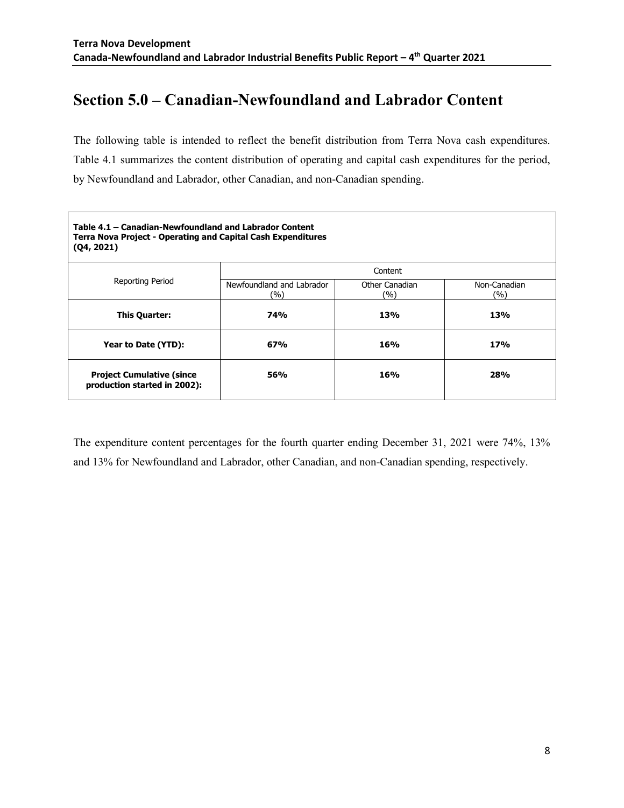# **Section 5.0 – Canadian-Newfoundland and Labrador Content**

 The following table is intended to reflect the benefit distribution from Terra Nova cash expenditures. Table 4.1 summarizes the content distribution of operating and capital cash expenditures for the period, by Newfoundland and Labrador, other Canadian, and non-Canadian spending.

| Table 4.1 - Canadian-Newfoundland and Labrador Content<br><b>Terra Nova Project - Operating and Capital Cash Expenditures</b><br>(Q4, 2021) |                                  |                       |                     |  |  |
|---------------------------------------------------------------------------------------------------------------------------------------------|----------------------------------|-----------------------|---------------------|--|--|
|                                                                                                                                             | Content                          |                       |                     |  |  |
| <b>Reporting Period</b>                                                                                                                     | Newfoundland and Labrador<br>(%) | Other Canadian<br>(%) | Non-Canadian<br>(%) |  |  |
| <b>This Quarter:</b>                                                                                                                        | <b>74%</b>                       | 13%                   | 13%                 |  |  |
| Year to Date (YTD):                                                                                                                         | 67%                              | 16%                   | 17%                 |  |  |
| <b>Project Cumulative (since</b><br>production started in 2002):                                                                            | 56%                              | 16%                   | 28%                 |  |  |

 The expenditure content percentages for the fourth quarter ending December 31, 2021 were 74%, 13% and 13% for Newfoundland and Labrador, other Canadian, and non-Canadian spending, respectively.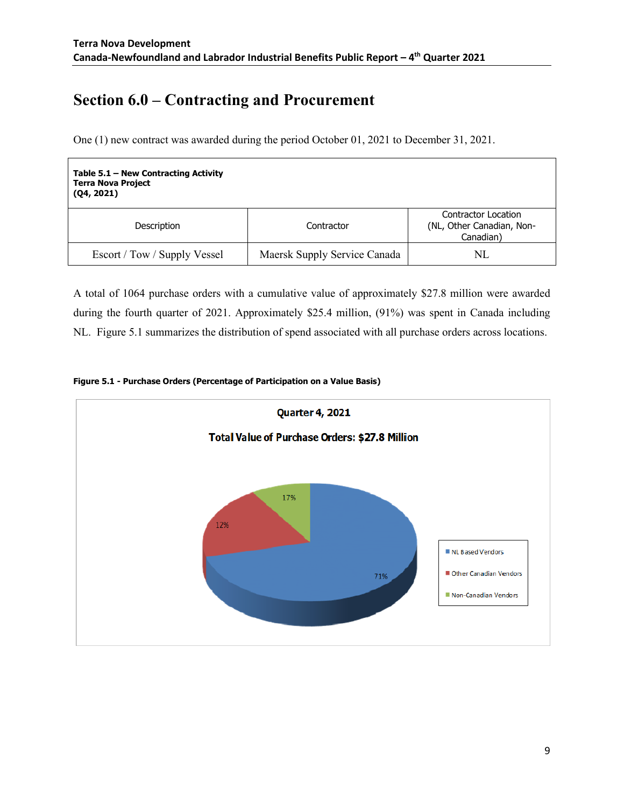# **Section 6.0 – Contracting and Procurement**

One (1) new contract was awarded during the period October 01, 2021 to December 31, 2021.

| Table $5.1$ – New Contracting Activity<br><b>Terra Nova Project</b><br>(Q4, 2021) |                              |                                                               |
|-----------------------------------------------------------------------------------|------------------------------|---------------------------------------------------------------|
| Description                                                                       | Contractor                   | Contractor Location<br>(NL, Other Canadian, Non-<br>Canadian) |
| Escort / Tow / Supply Vessel                                                      | Maersk Supply Service Canada | NL                                                            |

 A total of 1064 purchase orders with a cumulative value of approximately \$27.8 million were awarded during the fourth quarter of 2021. Approximately \$25.4 million, (91%) was spent in Canada including NL. Figure 5.1 summarizes the distribution of spend associated with all purchase orders across locations.



#### **Figure 5.1 - Purchase Orders (Percentage of Participation on a Value Basis)**